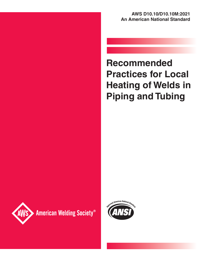**AWS D10.10/D10.10M:2021 An American National Standard**

# **Recommended Practices for Local Heating of Welds in Piping and Tubing**



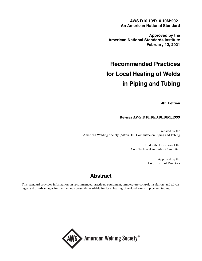**AWS D10.10/D10.10M:2021 An American National Standard**

**Approved by the American National Standards Institute February 12, 2021**

**Recommended Practices for Local Heating of Welds in Piping and Tubing**

**4th Edition**

#### **Revises AWS D10.10/D10.10M:1999**

Prepared by the American Welding Society (AWS) D10 Committee on Piping and Tubing

> Under the Direction of the AWS Technical Activities Committee

> > Approved by the AWS Board of Directors

## **Abstract**

This standard provides information on recommended practices, equipment, temperature control, insulation, and advantages and disadvantages for the methods presently available for local heating of welded joints in pipe and tubing.

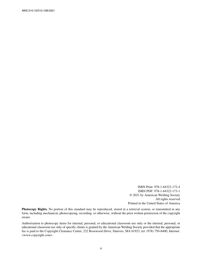ISBN Print: 978-1-64322-172-4 ISBN PDF: 978-1-64322-173-1 © 2021 by American Welding Society All rights reserved Printed in the United States of America

Photocopy Rights. No portion of this standard may be reproduced, stored in a retrieval system, or transmitted in any form, including mechanical, photocopying, recording, or otherwise, without the prior written permission of the copyright owner.

Authorization to photocopy items for internal, personal, or educational classroom use only or the internal, personal, or educational classroom use only of specific clients is granted by the American Welding Society provided that the appropriate fee is paid to the Copyright Clearance Center, 222 Rosewood Drive, Danvers, MA 01923, tel: (978) 750-8400; Internet: <www.copyright.com>.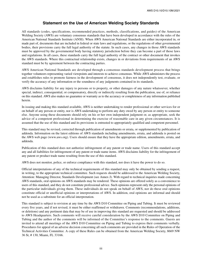### **Statement on the Use of American Welding Society Standards**

All standards (codes, specifications, recommended practices, methods, classifications, and guides) of the American Welding Society (AWS) are voluntary consensus standards that have been developed in accordance with the rules of the American National Standards Institute (ANSI). When AWS American National Standards are either incorporated in, or made part of, documents that are included in federal or state laws and regulations, or the regulations of other governmental bodies, their provisions carry the full legal authority of the statute. In such cases, any changes in those AWS standards must be approved by the governmental body having statutory jurisdiction before they can become a part of those laws and regulations. In all cases, these standards carry the full legal authority of the contract or other document that invokes the AWS standards. Where this contractual relationship exists, changes in or deviations from requirements of an AWS standard must be by agreement between the contracting parties.

AWS American National Standards are developed through a consensus standards development process that brings together volunteers representing varied viewpoints and interests to achieve consensus. While AWS administers the process and establishes rules to promote fairness in the development of consensus, it does not independently test, evaluate, or verify the accuracy of any information or the soundness of any judgments contained in its standards.

AWS disclaims liability for any injury to persons or to property, or other damages of any nature whatsoever, whether special, indirect, consequential, or compensatory, directly or indirectly resulting from the publication, use of, or reliance on this standard. AWS also makes no guarantee or warranty as to the accuracy or completeness of any information published herein.

In issuing and making this standard available, AWS is neither undertaking to render professional or other services for or on behalf of any person or entity, nor is AWS undertaking to perform any duty owed by any person or entity to someone else. Anyone using these documents should rely on his or her own independent judgment or, as appropriate, seek the advice of a competent professional in determining the exercise of reasonable care in any given circumstances. It is assumed that the use of this standard and its provisions is entrusted to appropriately qualified and competent personnel.

This standard may be revised, corrected through publication of amendments or errata, or supplemented by publication of addenda. Information on the latest editions of AWS standards including amendments, errata, and addenda is posted on the AWS web page (www.aws.org). Users should ensure that they have the appropriate edition, amendments, errata, and addenda.

Publication of this standard does not authorize infringement of any patent or trade name. Users of this standard accept any and all liabilities for infringement of any patent or trade name items. AWS disclaims liability for the infringement of any patent or product trade name resulting from the use of this standard.

AWS does not monitor, police, or enforce compliance with this standard, nor does it have the power to do so.

Official interpretations of any of the technical requirements of this standard may only be obtained by sending a request, in writing, to the appropriate technical committee. Such requests should be addressed to the American Welding Society, Attention: Managing Director, Standards Development (see Annex J). With regard to technical inquiries made concerning AWS standards, oral opinions on AWS standards may be rendered. These opinions are offered solely as a convenience to users of this standard, and they do not constitute professional advice. Such opinions represent only the personal opinions of the particular individuals giving them. These individuals do not speak on behalf of AWS, nor do these oral opinions constitute official or unofficial opinions or interpretations of AWS. In addition, oral opinions are informal and should not be used as a substitute for an official interpretation.

This standard is subject to revision at any time by the AWS D10 Committee on Piping and Tubing. It must be reviewed every five years, and if not revised, it must be either reaffirmed or withdrawn. Comments (recommendations, additions, or deletions) and any pertinent data that may be of use in improving this standard are requested and should be addressed to AWS Headquarters. Such comments will receive careful consideration by the AWS D10 Committee on Piping and Tubing and the author of the comments will be informed of the Committee's response to the comments. Guests are invited to attend all meetings of the AWS D10 Committee on Piping and Tubing to express their comments verbally. Procedures for appeal of an adverse decision concerning all such comments are provided in the Rules of Operation of the Technical Activities Committee. A copy of these Rules can be obtained from the American Welding Society, 8669 NW 36 St, # 130, Miami, FL 33166.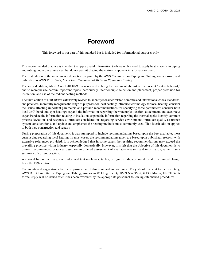## **Foreword**

This foreword is not part of this standard but is included for informational purposes only.

This recommended practice is intended to supply useful information to those with a need to apply heat to welds in piping and tubing under circumstances that do not permit placing the entire component in a furnace or oven.

The first edition of the recommended practice prepared by the AWS Committee on Piping and Tubing was approved and published as AWS D10.10-75, *Local Heat Treatment of Welds in Piping and Tubing*.

The second edition, ANSI/AWS D10.10-90, was revised to bring the document abreast of the present "state-of-the-art," and to reemphasize certain important topics; particularly, thermocouple selection and placement, proper provision for insulation, and use of the radiant heating methods.

The third edition of D10.10 was extensively revised to: identify/consider related domestic and international codes, standards, and practices; more fully recognize the range of purposes for local heating; introduce terminology for local heating; consider the issues affecting important parameters and provide recommendations for specifying these parameters; consider both local 360° band and spot heating; expand the information regarding thermocouple location, attachment, and accuracy; expand/update the information relating to insulation; expand the information regarding the thermal cycle; identify common process deviations and responses; introduce considerations regarding service environment; introduce quality assurance system considerations; and update and emphasize the heating methods most commonly used. This fourth edition applies to both new construction and repairs.

During preparation of this document, it was attempted to include recommendations based upon the best available, most current data regarding local heating. In most cases, the recommendations given are based upon published research, with extensive references provided. It is acknowledged that in some cases, the resulting recommendations may exceed the prevailing practice within industry, especially domestically. However, it is felt that the objective of this document is to present recommended practices based on an ordered assessment of available research and information, rather than a summary of current practice.

A vertical line in the margin or underlined text in clauses, tables, or figures indicates an editorial or technical change from the 1999 edition.

Comments and suggestions for the improvement of this standard are welcome. They should be sent to the Secretary, AWS D10 Committee on Piping and Tubing, American Welding Society, 8669 NW 36 St, # 130, Miami, FL 33166. A formal reply will be issued after it has been reviewed by the appropriate personnel following established procedures.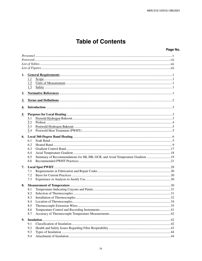## **Table of Contents**

## Page No.

| 1.                |                                                                                       |  |  |
|-------------------|---------------------------------------------------------------------------------------|--|--|
|                   | 1.1                                                                                   |  |  |
|                   | 1.2                                                                                   |  |  |
|                   | 1.3                                                                                   |  |  |
|                   |                                                                                       |  |  |
| 2.                |                                                                                       |  |  |
| $\underline{3}$ . |                                                                                       |  |  |
|                   |                                                                                       |  |  |
| 4.                |                                                                                       |  |  |
| <u>5</u> .        |                                                                                       |  |  |
|                   | 5.1                                                                                   |  |  |
|                   | 5.2                                                                                   |  |  |
|                   | 5.3                                                                                   |  |  |
|                   | 5.4                                                                                   |  |  |
| 6.                |                                                                                       |  |  |
|                   | 6.1                                                                                   |  |  |
|                   | 6.2                                                                                   |  |  |
|                   | 6.3                                                                                   |  |  |
|                   | 6.4                                                                                   |  |  |
|                   | Summary of Recommendations for SB, HB, GCB, and Axial Temperature Gradient  19<br>6.5 |  |  |
|                   | 6.6                                                                                   |  |  |
| 7.                |                                                                                       |  |  |
|                   | 7.1                                                                                   |  |  |
|                   | 7.2                                                                                   |  |  |
|                   | 7.3                                                                                   |  |  |
| 8.                |                                                                                       |  |  |
|                   | 8.1                                                                                   |  |  |
|                   | 8.2                                                                                   |  |  |
|                   | 8.3                                                                                   |  |  |
|                   | 8.4                                                                                   |  |  |
|                   | 8.5                                                                                   |  |  |
|                   | 8.6                                                                                   |  |  |
|                   | 8.7                                                                                   |  |  |
| 9.                |                                                                                       |  |  |
|                   | 9.1                                                                                   |  |  |
|                   | 9.2                                                                                   |  |  |
|                   | 9.3                                                                                   |  |  |
|                   | 9.4                                                                                   |  |  |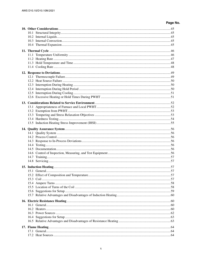### Page No.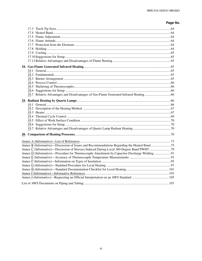## Page No.

| Annex D (Informative)—Procedure for Thermocouple Attachment by Capacitor Discharge Welding91 |  |
|----------------------------------------------------------------------------------------------|--|
|                                                                                              |  |
|                                                                                              |  |
|                                                                                              |  |
|                                                                                              |  |
|                                                                                              |  |
|                                                                                              |  |
|                                                                                              |  |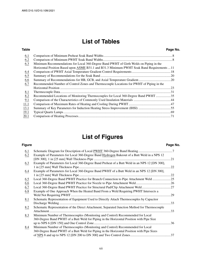## **List of Tables**

#### **Table Page No.**

| 6.1         |                                                                                            |  |
|-------------|--------------------------------------------------------------------------------------------|--|
| 6.2         |                                                                                            |  |
| 6.3         | Minimum Recommendations for Local 360-Degree Band PWHT of Girth Welds on Piping in the     |  |
|             | Horizontal Position Based upon ASME B31.1 and B31.3 Minimum PWHT Soak Band Requirements 11 |  |
| 6.4         |                                                                                            |  |
| 6.5         |                                                                                            |  |
| 6.6         |                                                                                            |  |
| 6.7         | Recommended Number of Control Zones and Thermocouple Locations for PWHT of Piping in the   |  |
|             |                                                                                            |  |
| 8.1         |                                                                                            |  |
| 8.2         | Recommended Locations of Monitoring Thermocouples for Local 360-Degree Band PWHT 35        |  |
| 9.1         |                                                                                            |  |
| 11.1        |                                                                                            |  |
| 13.1        | Summary of Key Parameters for Induction Heating Stress Improvement (IHSI) 55               |  |
| <u>19.1</u> |                                                                                            |  |
| 20.1        |                                                                                            |  |

## **List of Figures**

#### **Figure Page No.**

| 6.1 |                                                                                               |     |
|-----|-----------------------------------------------------------------------------------------------|-----|
| 6.2 | Example of Parameters for Local 360-Degree Band Hydrogen Bakeout of a Butt Weld in a NPS 12   |     |
|     |                                                                                               |     |
| 6.3 | Example of Parameters for Local 360-Degree Band Preheat of a Butt Weld in an NPS 12 [DN 300], |     |
|     |                                                                                               | .22 |
| 6.4 | Example of Parameters for Local 360-Degree Band PWHT of a Butt Weld in an NPS 12 [DN 300],    |     |
|     |                                                                                               |     |
| 6.5 | Local 360-Degree Band PWHT Practice for Branch Connection to Pipe Attachment Weld 25          |     |
| 6.6 |                                                                                               |     |
| 6.7 | Local 360-Degree Band PWHT Practice for Structural Pad/Clip Attachment Weld27                 |     |
| 6.8 | Example of One Approach When the Heated Band From a Weld Requiring PWHT Intersects a          |     |
|     |                                                                                               |     |
| 8.1 | Schematic Representation of Equipment Used to Directly Attach Thermocouples by Capacitor      |     |
|     |                                                                                               |     |
| 8.2 | Schematic Representation of the Direct Attachment, Separated Junction Method for Thermocouple |     |
|     |                                                                                               | 33  |
| 8.3 | Minimum Number of Thermocouples (Monitoring and Control) Recommended for Local                |     |
|     | 360-Degree Band PWHT of a Butt Weld for Piping in the Horizontal Position with Pipe Size      |     |
|     |                                                                                               |     |
| 8.4 | Minimum Number of Thermocouples (Monitoring and Control) Recommended for Local                |     |
|     | 360-Degree Band PWHT of a Butt Weld for Piping in the Horizontal Position with Pipe Sizes     |     |
|     |                                                                                               |     |
|     |                                                                                               |     |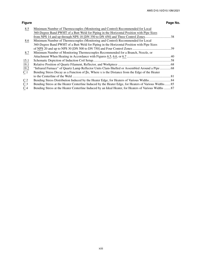| 8.5         | Minimum Number of Thermocouples (Monitoring and Control) Recommended for Local                        |  |
|-------------|-------------------------------------------------------------------------------------------------------|--|
|             | 360-Degree Band PWHT of a Butt Weld for Piping in the Horizontal Position with Pipe Sizes             |  |
|             |                                                                                                       |  |
| 8.6         | Minimum Number of Thermocouples (Monitoring and Control) Recommended for Local                        |  |
|             | 360-Degree Band PWHT of a Butt Weld for Piping in the Horizontal Position with Pipe Sizes             |  |
|             |                                                                                                       |  |
| 8.7         | Minimum Number of Monitoring Thermocouples Recommended for a Branch, Nozzle, or                       |  |
|             |                                                                                                       |  |
| 15.1        |                                                                                                       |  |
| <u>19.1</u> |                                                                                                       |  |
| 19.2        | "Infrared Furnace" of Quartz Lamp Reflector Units Clam-Shelled or Assembled Around a Pipe 68          |  |
| C.1         | Bending Stress Decay as a Function of $\beta x$ , Where x is the Distance from the Edge of the Heater |  |
|             |                                                                                                       |  |
| C.2         |                                                                                                       |  |
| C.3         | Bending Stress at the Heater Centerline Induced by the Heater Edge, for Heaters of Various Widths85   |  |
| C.4         | Bending Stress at the Heater Centerline Induced by an Ideal Heater, for Heaters of Various Widths  87 |  |